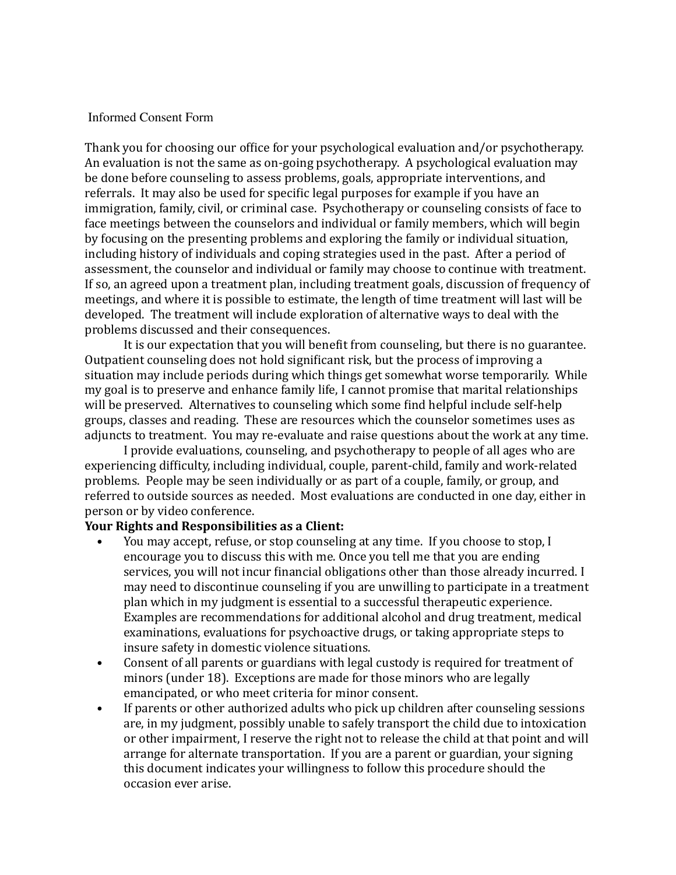#### Informed Consent Form

Thank you for choosing our office for your psychological evaluation and/or psychotherapy. An evaluation is not the same as on-going psychotherapy. A psychological evaluation may be done before counseling to assess problems, goals, appropriate interventions, and referrals. It may also be used for specific legal purposes for example if you have an immigration, family, civil, or criminal case. Psychotherapy or counseling consists of face to face meetings between the counselors and individual or family members, which will begin by focusing on the presenting problems and exploring the family or individual situation, including history of individuals and coping strategies used in the past. After a period of assessment, the counselor and individual or family may choose to continue with treatment. If so, an agreed upon a treatment plan, including treatment goals, discussion of frequency of meetings, and where it is possible to estimate, the length of time treatment will last will be developed. The treatment will include exploration of alternative ways to deal with the problems discussed and their consequences.

It is our expectation that you will benefit from counseling, but there is no guarantee. Outpatient counseling does not hold significant risk, but the process of improving a situation may include periods during which things get somewhat worse temporarily. While my goal is to preserve and enhance family life, I cannot promise that marital relationships will be preserved. Alternatives to counseling which some find helpful include self-help groups, classes and reading. These are resources which the counselor sometimes uses as adjuncts to treatment. You may re-evaluate and raise questions about the work at any time.

I provide evaluations, counseling, and psychotherapy to people of all ages who are experiencing difficulty, including individual, couple, parent-child, family and work-related problems. People may be seen individually or as part of a couple, family, or group, and referred to outside sources as needed. Most evaluations are conducted in one day, either in person or by video conference.

### **Your Rights and Responsibilities as a Client:**

- You may accept, refuse, or stop counseling at any time. If you choose to stop, I encourage you to discuss this with me. Once you tell me that you are ending services, you will not incur financial obligations other than those already incurred. I may need to discontinue counseling if you are unwilling to participate in a treatment plan which in my judgment is essential to a successful therapeutic experience. Examples are recommendations for additional alcohol and drug treatment, medical examinations, evaluations for psychoactive drugs, or taking appropriate steps to insure safety in domestic violence situations.
- Consent of all parents or guardians with legal custody is required for treatment of minors (under 18). Exceptions are made for those minors who are legally emancipated, or who meet criteria for minor consent.
- If parents or other authorized adults who pick up children after counseling sessions are, in my judgment, possibly unable to safely transport the child due to intoxication or other impairment, I reserve the right not to release the child at that point and will arrange for alternate transportation. If you are a parent or guardian, your signing this document indicates your willingness to follow this procedure should the occasion ever arise.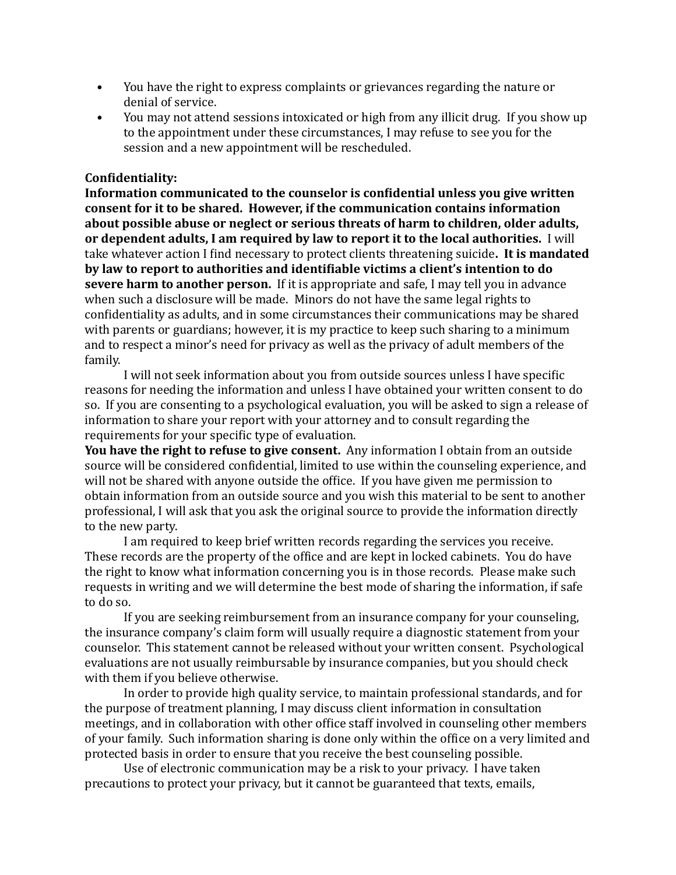- You have the right to express complaints or grievances regarding the nature or denial of service.
- You may not attend sessions intoxicated or high from any illicit drug. If you show up to the appointment under these circumstances, I may refuse to see you for the session and a new appointment will be rescheduled.

### **Con5identiality:**

**Information communicated to the counselor is confidential unless you give written consent for it to be shared. However, if the communication contains information** about possible abuse or neglect or serious threats of harm to children, older adults, or dependent adults, I am required by law to report it to the local authorities. I will take whatever action I find necessary to protect clients threatening suicide. It is mandated by law to report to authorities and identifiable victims a client's intention to do **severe harm to another person.** If it is appropriate and safe, I may tell you in advance when such a disclosure will be made. Minors do not have the same legal rights to confidentiality as adults, and in some circumstances their communications may be shared with parents or guardians; however, it is my practice to keep such sharing to a minimum and to respect a minor's need for privacy as well as the privacy of adult members of the family.

I will not seek information about you from outside sources unless I have specific reasons for needing the information and unless I have obtained your written consent to do so. If you are consenting to a psychological evaluation, you will be asked to sign a release of information to share your report with your attorney and to consult regarding the requirements for your specific type of evaluation.

**You have the right to refuse to give consent.** Any information I obtain from an outside source will be considered confidential, limited to use within the counseling experience, and will not be shared with anyone outside the office. If you have given me permission to obtain information from an outside source and you wish this material to be sent to another professional, I will ask that you ask the original source to provide the information directly to the new party.

I am required to keep brief written records regarding the services you receive. These records are the property of the office and are kept in locked cabinets. You do have the right to know what information concerning you is in those records. Please make such requests in writing and we will determine the best mode of sharing the information, if safe to do so.

If you are seeking reimbursement from an insurance company for your counseling, the insurance company's claim form will usually require a diagnostic statement from your counselor. This statement cannot be released without your written consent. Psychological evaluations are not usually reimbursable by insurance companies, but you should check with them if you believe otherwise.

In order to provide high quality service, to maintain professional standards, and for the purpose of treatment planning, I may discuss client information in consultation meetings, and in collaboration with other office staff involved in counseling other members of your family. Such information sharing is done only within the office on a very limited and protected basis in order to ensure that you receive the best counseling possible.

Use of electronic communication may be a risk to your privacy. I have taken precautions to protect your privacy, but it cannot be guaranteed that texts, emails,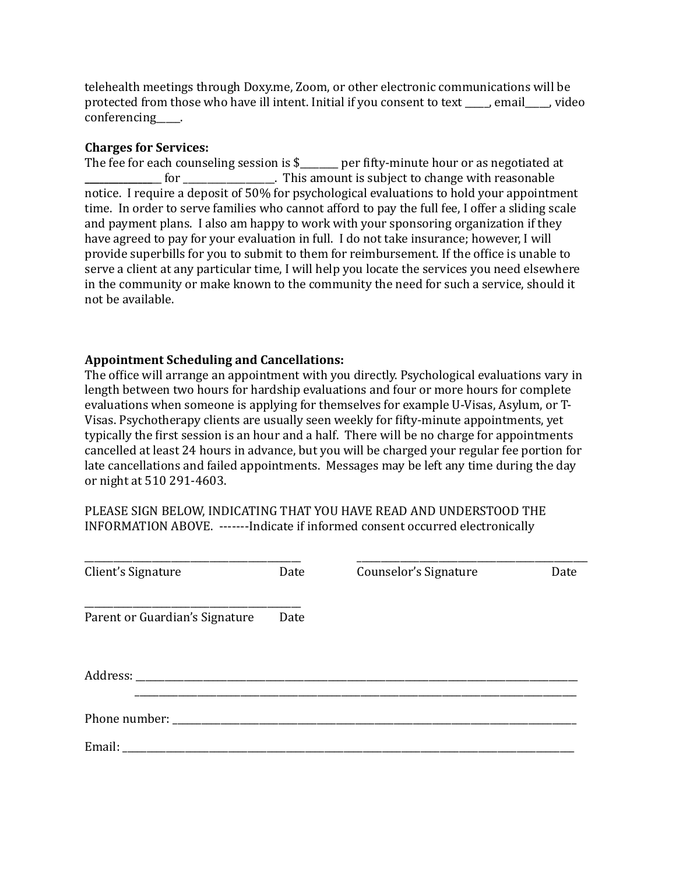telehealth meetings through Doxy.me, Zoom, or other electronic communications will be protected from those who have ill intent. Initial if you consent to text \_\_\_\_, email\_\_\_, video conferencing .

## **Charges for Services:**

The fee for each counseling session is  $$$  \_\_\_\_\_\_ per fifty-minute hour or as negotiated at for **the contact of the contact of the contact of the contact of the contact of the contact of the contact of the form of the contact of the form of the contact of the contact of the form of the contact of the form of the** notice. I require a deposit of 50% for psychological evaluations to hold your appointment time. In order to serve families who cannot afford to pay the full fee, I offer a sliding scale and payment plans. I also am happy to work with your sponsoring organization if they have agreed to pay for your evaluation in full. I do not take insurance; however, I will provide superbills for you to submit to them for reimbursement. If the office is unable to serve a client at any particular time, I will help you locate the services you need elsewhere in the community or make known to the community the need for such a service, should it not be available.

# **Appointment Scheduling and Cancellations:**

The office will arrange an appointment with you directly. Psychological evaluations vary in length between two hours for hardship evaluations and four or more hours for complete evaluations when someone is applying for themselves for example U-Visas, Asylum, or T-Visas. Psychotherapy clients are usually seen weekly for fifty-minute appointments, yet typically the first session is an hour and a half. There will be no charge for appointments cancelled at least 24 hours in advance, but you will be charged your regular fee portion for late cancellations and failed appointments. Messages may be left any time during the day or night at 510 291-4603.

PLEASE SIGN BELOW, INDICATING THAT YOU HAVE READ AND UNDERSTOOD THE INFORMATION ABOVE. -------Indicate if informed consent occurred electronically

| Client's Signature             | Date | Counselor's Signature | Date |
|--------------------------------|------|-----------------------|------|
| Parent or Guardian's Signature | Date |                       |      |
|                                |      |                       |      |
|                                |      |                       |      |
| Email:                         |      |                       |      |